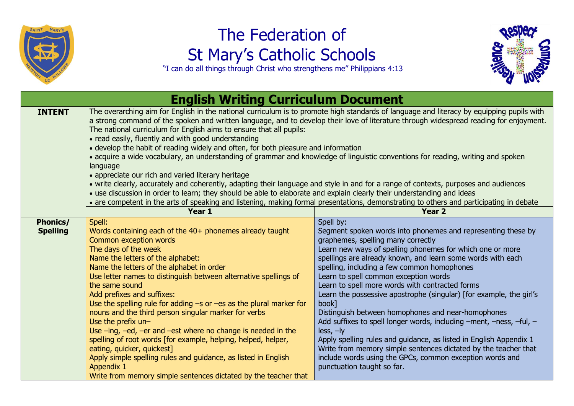

## The Federation of St Mary's Catholic Schools



"I can do all things through Christ who strengthens me" Philippians 4:13

| <b>English Writing Curriculum Document</b> |                                                                                                                                                                                                                                                                                                                                                                                                                                                                                                                                                                                                                                                                                                                                                                                                                                                                                                                                                                                                                                                                                                                            |                                                                                                                                                                                                                                                                                                                                                                                                                                                                                                                                                                                                                                                                                                                                                                                                                                                       |  |  |
|--------------------------------------------|----------------------------------------------------------------------------------------------------------------------------------------------------------------------------------------------------------------------------------------------------------------------------------------------------------------------------------------------------------------------------------------------------------------------------------------------------------------------------------------------------------------------------------------------------------------------------------------------------------------------------------------------------------------------------------------------------------------------------------------------------------------------------------------------------------------------------------------------------------------------------------------------------------------------------------------------------------------------------------------------------------------------------------------------------------------------------------------------------------------------------|-------------------------------------------------------------------------------------------------------------------------------------------------------------------------------------------------------------------------------------------------------------------------------------------------------------------------------------------------------------------------------------------------------------------------------------------------------------------------------------------------------------------------------------------------------------------------------------------------------------------------------------------------------------------------------------------------------------------------------------------------------------------------------------------------------------------------------------------------------|--|--|
| <b>INTENT</b>                              | The overarching aim for English in the national curriculum is to promote high standards of language and literacy by equipping pupils with<br>a strong command of the spoken and written language, and to develop their love of literature through widespread reading for enjoyment.<br>The national curriculum for English aims to ensure that all pupils:<br>• read easily, fluently and with good understanding<br>• develop the habit of reading widely and often, for both pleasure and information<br>• acquire a wide vocabulary, an understanding of grammar and knowledge of linguistic conventions for reading, writing and spoken<br>language<br>• appreciate our rich and varied literary heritage<br>• write clearly, accurately and coherently, adapting their language and style in and for a range of contexts, purposes and audiences<br>• use discussion in order to learn; they should be able to elaborate and explain clearly their understanding and ideas<br>• are competent in the arts of speaking and listening, making formal presentations, demonstrating to others and participating in debate |                                                                                                                                                                                                                                                                                                                                                                                                                                                                                                                                                                                                                                                                                                                                                                                                                                                       |  |  |
|                                            | Year 1                                                                                                                                                                                                                                                                                                                                                                                                                                                                                                                                                                                                                                                                                                                                                                                                                                                                                                                                                                                                                                                                                                                     | <b>Year 2</b>                                                                                                                                                                                                                                                                                                                                                                                                                                                                                                                                                                                                                                                                                                                                                                                                                                         |  |  |
| <b>Phonics/</b><br><b>Spelling</b>         | Spell:<br>Words containing each of the 40+ phonemes already taught<br>Common exception words<br>The days of the week<br>Name the letters of the alphabet:<br>Name the letters of the alphabet in order<br>Use letter names to distinguish between alternative spellings of<br>the same sound<br>Add prefixes and suffixes:<br>Use the spelling rule for adding $-s$ or $-es$ as the plural marker for<br>nouns and the third person singular marker for verbs<br>Use the prefix un-<br>Use $-$ ing, $-$ ed, $-$ er and $-$ est where no change is needed in the<br>spelling of root words [for example, helping, helped, helper,<br>eating, quicker, quickest]<br>Apply simple spelling rules and guidance, as listed in English<br>Appendix 1<br>Write from memory simple sentences dictated by the teacher that                                                                                                                                                                                                                                                                                                          | Spell by:<br>Segment spoken words into phonemes and representing these by<br>graphemes, spelling many correctly<br>Learn new ways of spelling phonemes for which one or more<br>spellings are already known, and learn some words with each<br>spelling, including a few common homophones<br>Learn to spell common exception words<br>Learn to spell more words with contracted forms<br>Learn the possessive apostrophe (singular) [for example, the girl's<br>book]<br>Distinguish between homophones and near-homophones<br>Add suffixes to spell longer words, including -ment, -ness, -ful, -<br>$less, -ly$<br>Apply spelling rules and guidance, as listed in English Appendix 1<br>Write from memory simple sentences dictated by the teacher that<br>include words using the GPCs, common exception words and<br>punctuation taught so far. |  |  |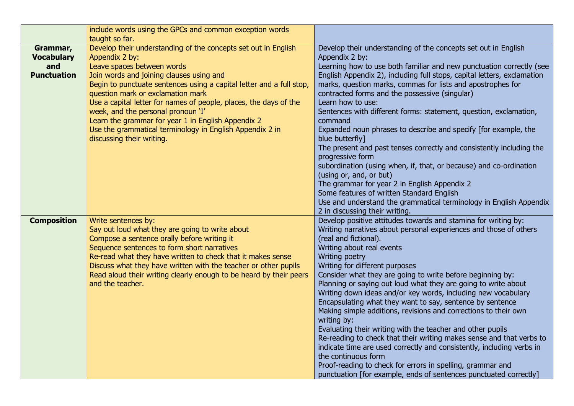|                                                            | include words using the GPCs and common exception words<br>taught so far.                                                                                                                                                                                                                                                                                                                                                                                                                                                         |                                                                                                                                                                                                                                                                                                                                                                                                                                                                                                                                                                                                                                                                                                                                                                                                                                                                                                                                                                        |
|------------------------------------------------------------|-----------------------------------------------------------------------------------------------------------------------------------------------------------------------------------------------------------------------------------------------------------------------------------------------------------------------------------------------------------------------------------------------------------------------------------------------------------------------------------------------------------------------------------|------------------------------------------------------------------------------------------------------------------------------------------------------------------------------------------------------------------------------------------------------------------------------------------------------------------------------------------------------------------------------------------------------------------------------------------------------------------------------------------------------------------------------------------------------------------------------------------------------------------------------------------------------------------------------------------------------------------------------------------------------------------------------------------------------------------------------------------------------------------------------------------------------------------------------------------------------------------------|
| Grammar,<br><b>Vocabulary</b><br>and<br><b>Punctuation</b> | Develop their understanding of the concepts set out in English<br>Appendix 2 by:<br>Leave spaces between words<br>Join words and joining clauses using and<br>Begin to punctuate sentences using a capital letter and a full stop,<br>question mark or exclamation mark<br>Use a capital letter for names of people, places, the days of the<br>week, and the personal pronoun 'I'<br>Learn the grammar for year 1 in English Appendix 2<br>Use the grammatical terminology in English Appendix 2 in<br>discussing their writing. | Develop their understanding of the concepts set out in English<br>Appendix 2 by:<br>Learning how to use both familiar and new punctuation correctly (see<br>English Appendix 2), including full stops, capital letters, exclamation<br>marks, question marks, commas for lists and apostrophes for<br>contracted forms and the possessive (singular)<br>Learn how to use:<br>Sentences with different forms: statement, question, exclamation,<br>command<br>Expanded noun phrases to describe and specify [for example, the<br>blue butterfly]<br>The present and past tenses correctly and consistently including the<br>progressive form<br>subordination (using when, if, that, or because) and co-ordination<br>(using or, and, or but)<br>The grammar for year 2 in English Appendix 2<br>Some features of written Standard English                                                                                                                              |
|                                                            |                                                                                                                                                                                                                                                                                                                                                                                                                                                                                                                                   | Use and understand the grammatical terminology in English Appendix<br>2 in discussing their writing.                                                                                                                                                                                                                                                                                                                                                                                                                                                                                                                                                                                                                                                                                                                                                                                                                                                                   |
| <b>Composition</b>                                         | Write sentences by:<br>Say out loud what they are going to write about<br>Compose a sentence orally before writing it<br>Sequence sentences to form short narratives<br>Re-read what they have written to check that it makes sense<br>Discuss what they have written with the teacher or other pupils<br>Read aloud their writing clearly enough to be heard by their peers<br>and the teacher.                                                                                                                                  | Develop positive attitudes towards and stamina for writing by:<br>Writing narratives about personal experiences and those of others<br>(real and fictional).<br>Writing about real events<br>Writing poetry<br>Writing for different purposes<br>Consider what they are going to write before beginning by:<br>Planning or saying out loud what they are going to write about<br>Writing down ideas and/or key words, including new vocabulary<br>Encapsulating what they want to say, sentence by sentence<br>Making simple additions, revisions and corrections to their own<br>writing by:<br>Evaluating their writing with the teacher and other pupils<br>Re-reading to check that their writing makes sense and that verbs to<br>indicate time are used correctly and consistently, including verbs in<br>the continuous form<br>Proof-reading to check for errors in spelling, grammar and<br>punctuation [for example, ends of sentences punctuated correctly] |